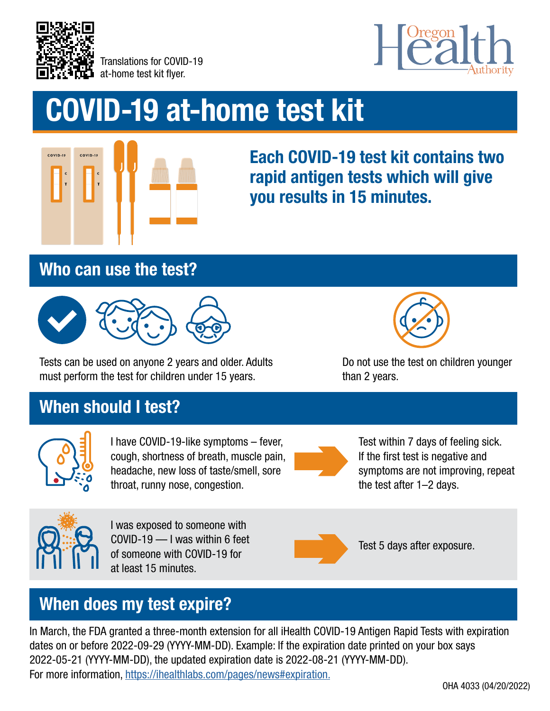

Translations for COVID-19 at-home test kit flyer.



# COVID-19 at-home test kit



Each COVID-19 test kit contains two rapid antigen tests which will give you results in 15 minutes.

#### Who can use the test?



Tests can be used on anyone 2 years and older. Adults must perform the test for children under 15 years.



Do not use the test on children younger than 2 years.

# When should I test?



I have COVID-19-like symptoms – fever, cough, shortness of breath, muscle pain, headache, new loss of taste/smell, sore throat, runny nose, congestion.



Test within 7 days of feeling sick. If the first test is negative and symptoms are not improving, repeat the test after 1–2 days.



I was exposed to someone with COVID-19 — I was within 6 feet of someone with COVID-19 for at least 15 minutes.



Test 5 days after exposure.

# When does my test expire?

In March, the FDA granted a three-month extension for all iHealth COVID-19 Antigen Rapid Tests with expiration dates on or before 2022-09-29 (YYYY-MM-DD). Example: If the expiration date printed on your box says 2022-05-21 (YYYY-MM-DD), the updated expiration date is 2022-08-21 (YYYY-MM-DD). For more information, <https://ihealthlabs.com/pages/news#expiration.>